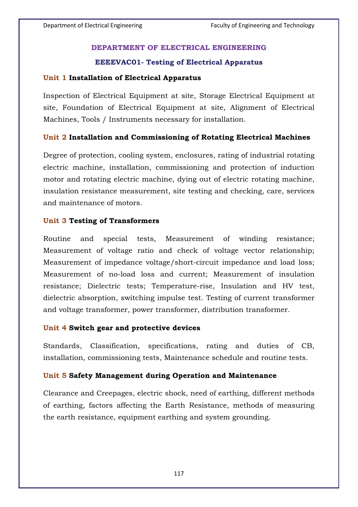# **DEPARTMENT OF ELECTRICAL ENGINEERING**

## **EEEEVAC01- Testing of Electrical Apparatus**

### **Unit 1 Installation of Electrical Apparatus**

Inspection of Electrical Equipment at site, Storage Electrical Equipment at site, Foundation of Electrical Equipment at site, Alignment of Electrical Machines, Tools / Instruments necessary for installation.

### **Unit 2 Installation and Commissioning of Rotating Electrical Machines**

Degree of protection, cooling system, enclosures, rating of industrial rotating electric machine, installation, commissioning and protection of induction motor and rotating electric machine, dying out of electric rotating machine, insulation resistance measurement, site testing and checking, care, services and maintenance of motors.

### **Unit 3 Testing of Transformers**

Routine and special tests, Measurement of winding resistance; Measurement of voltage ratio and check of voltage vector relationship; Measurement of impedance voltage/short-circuit impedance and load loss; Measurement of no-load loss and current; Measurement of insulation resistance; Dielectric tests; Temperature-rise, Insulation and HV test, dielectric absorption, switching impulse test. Testing of current transformer and voltage transformer, power transformer, distribution transformer.

#### **Unit 4 Switch gear and protective devices**

Standards, Classification, specifications, rating and duties of CB, installation, commissioning tests, Maintenance schedule and routine tests.

#### **Unit 5 Safety Management during Operation and Maintenance**

Clearance and Creepages, electric shock, need of earthing, different methods of earthing, factors affecting the Earth Resistance, methods of measuring the earth resistance, equipment earthing and system grounding.